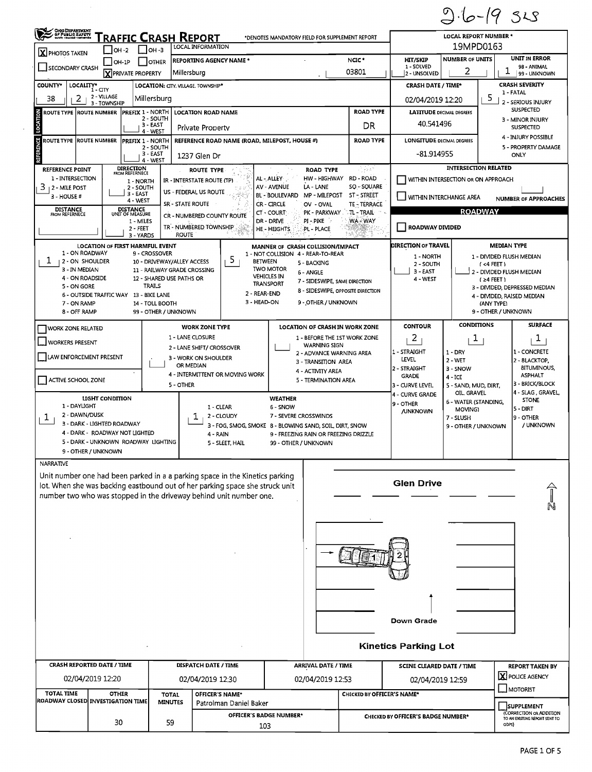$10-19$  $SLS$ <p><b>TABLE 2.1</b></p>\n<p><b>TABLE 1</b></p>\n<p><b>EXAMPLE 1</b></p>\n<p>19MPD0163</p>\n<p>19MPD0163</p>  $\blacksquare$ Photos taken  $\Box$ oh-2  $\Box$ oh-3  $\blacksquare$ <sup>ocal information</sup> 19MPD0163 19MPD0163 OH-1P OTHER REPORTING AGENCY NAME \* NOC \* NEC \* HIT/SKIP NUMBER OF UNITS UNIT IN ERROR<br>
TO PRIVATE PROPERTY Millersburg Millersburg (Millersburg 1-SOLVED 1-SOLVED 1-SOLVED 1-SOLVED 2 | 1 98-ANIMAL SECONDARY CRASH EXECUTION CONTROL INCLUDED AND RELEASED AND RELEASED AND RELEASED AND RELEASED AND RELEASED AND RELEASED AND RELEASED AND RELEASED AND RELEASED AND RELEASED AND RELEASED AND RELEASED AND RELEASED AND RELEAS Next American Company Millersburg Millersburg I Company I Day - ANIMAL USBOR I Later Company I Day - UNKNOWN Company I Day - UNKNOWN COUNTY\* LOCALITY\* LOCALITY\* LOCALITY: CITY. VILLAGE. TOWNSHIP\* CRASH DATE / TIME\* CRASH DATE / TIME\* CRASH SEVERITY ROLrrE TYPE ROUTE NUMBER PREFIX 1 - NORTH LOCATION ROAD NAME ROAD TYPE LATITUDE DECIMAL DEGREES SUSPECTED . 2 - SOUTH 3 - MINOR INJURY <u>2 3 - VILLAGE Millersburg Millersburg 2 - SERIOUS INJURY (N. 1988)</u> 2 - SERIOUS INJURY (N. 1988)<br>2 - SERIOUS INJURY (N. 1989)<br>2 - SERIOUS INJURY (N. 1989) 3-EAST Private Prooertv DR 40.541496 . SUSPECTED 4 - WEST ROUTE TYPE ROUTE NUMBER PREFIX 1 - WEST HEREERENCE ROAD NAME (ROAD, MILEPOST, HOUSE #) ROAD TYPE LONGITUDE DECIMAL DEGREES 4 - INJURY POSSIBLE<br>
4 - INJURY POSSIBLE<br>
5 - PROPERTY DAMA ţ 2 - SOUTH 12 - ALL AND NOTE TO MAKE THE SUBJECT OF THE SUBJECT OF THE SUBJECT OF THE SUBJECT OF THE SUBJECT OF THE SUBJECT OF THE SUBJECT OF THE SUBJECT OF THE SUBJECT OF THE SUBJECT OF THE SUBJECT OF THE SUBJECT OF THE SU ~!:~~;T 1237 Glen Dr -81.914955 ONLY REFERENCE POINT<br>
1 - INTERSECTION RELATED<br>
1 - INTERSECTION OR ON APPROACH<br>
1 - ALEY ALEY HW - HIGHWAY RD - ROAD<br>
1 - ALEY HW - HIGHWAY RD - ROAD<br>
1 - MILE POST<br>
3 - HOUSE #<br>
3 - HOUSE 3 - EDERAL US ROUTE<br>
3 - HOUSE 3 - RO DR - DRIVE PI-.PIKE WA, WA, WAY<br>HE - HEIGHTS PIL - PLACE 1- MILES TR'- NUMBERED TOWNSHIP D ROADWAY DIVIDED IN A MUMBERED TOWNSHIP IN THE - HEIGHTS, N. P. PLACE AND IN THE ROADWAY DIVIDED IN THE PLACE TOWN THAT I IS A STATE OF THE RESERVED ON THE RESERVED ON THE PLACE AND INTERNATIONAL PROPERTY IN THE RESERVED 3 - YARDS ROUTE LOCATION OF FIRST HARMFUL EVENT MANNER OF CRASH COLLISION/IMPACT DIRECTION OF TRAVEL MEDIAN TYPE<br>1 - NOT COLLISION 4 - REAR-TO-REAR TO-REAR 1 MORTH 1 - NOT COLLISION 4 - REAR-TO-REAR 1 - ON ROADWAY 9 - CROSSOVER<br>2 - ON SHOULDER 10 - DRIVEWAY/ALLEY ACCESS ETWEEN 5 - BACKING A PREAR TO-REAR 1 - NORTH 1 - DIVIDED FLUSH MEDIAN<br>3 - IN MEDIAN 11 - RAILWAY GRADE CROSSING WOODR 6 - ANGLE 1 3 - EAST 1 2 - DIVID 4 - ON ROADSIDE 12 - SHARED USE PATHS OR VEHICLES IN THE RESERVIPE, SAME DIRECTION ( 24 FEET )<br>5 - ON GORE TRAILS TRAILS 3 - DIMDED, DEPRESSED MEDIAN ( 24 FEET ) 9 - SIDESWIPE ORDORES NEWS TRAILS 3 - DIMDED, DEPRESSED MEDI 5 - ON GORE<br>6 - OUTSIDE TRAFFIC WAY 13 - BIKE LANE 2 - REAR-END 2 - REAR-END 8 - SIDESWIPE, OPPOSITE DIRECTION<br>7 - ON RAMP 2 - 14 - TOLL BOOTH 3 - HEAD-ON 9 - OTHER / UNKNOWN 7- ON RAMP 14 - TOLL BOOTH 3 - HEAD-ON 9 -,OTHER / UNKNOWN (ANYTYPEl 8- OFF RAMP 99 - OTHER / UNKNOWN 9 - OTHER / UNKNOWN WORK ZONE RELATED **WORK ZONE TYPE** LOCATION OF CRASH IN WORK ZONE CONTOUR CONDITIONS SURFACE — NORKERS PRESENT 1 - LANE CLOSURE 1 - BEFORE THE 1ST WORK ZONE<br>2 - LANE SHIFT/ CROSSOVER 2 - LANE HILL 2 - WARNING SIGN 1 - LANE CLOSURE<br>2 - LANE SHIFT/ CROSSOVER LJ WARNING SIGN  $\begin{bmatrix} 2 & 1 \\ 1 \end{bmatrix}$   $\begin{bmatrix} 1 \\ 1 \end{bmatrix}$   $\begin{bmatrix} 1 \\ 1 \end{bmatrix}$ O 2 - LANE SHIFT/ CROSSOVER<br>
2 - DONANCE WARNING AREA 1 - STRAIGHT 1 - DRY 1 - CONCRETE 1<br>
2 - BLACKTOP, 2 - BLACKTOP, 2 - BLACKTOP, 2 - BLACKTOP, 2 - BLACKTOP, 2 - BLACKTOP, 2 - BLACKTOP, 2 - BLACKTOP, 2 - BLACKTOP, 2 -3 - WORK ON SHOULDER 3 - TRANsmON AREA ~ LEVEL 2 -WET 2 - 8LACKTOP, OR MEDIAN 2 - STRAIGHT 3-SNOW BITUMINOUS, 4 - ACTIVITY AREA 4 - INTERMITTENT OR MOVING WORK SERMINATION AREA GRADE 4 - ICE 4 - ICE ASPHALT 4 - ASPERIC ASPERIT 5 - TERMINATION AREA 3 - CURVE LEVEL 5 - SAND, MUD, DIRT, 3 - BRICK/BLOCK ACTIVE SCHOOL ZONE 4 - CURVE GRADE OIL. GRAVEL<br>
CAMATER (STANDING STONE STONE UGHT CONDITION UGHT CONDITION 1 - CLEAR WEATHER 4 - UNVEXABLE CLEAR 4 - UNCHANDING, STONE<br>1 - CLEAR 6 - SNOW 9 - OTHER 9 - MINIMONAL MOVING STONE STONE<br>MOVING 5 - DIRT 1-DAYUGHT 9-0THER 1- CLEAR 6- SNOW 9-0THER 9-0THER 9-WHICH (SIMNOWS) 5-DIRT<br>2. DANALONEY 9- STATES (SIMPLE 2007) 2007 - STATES AND STATES CONSULTER (SIMPLEME) 5-DIRT 2 DAWN/DUSK 9 - OTHER 3 - CLOUDY 7 - SEVERE CROSSWINDS (2 - CLOUDY 7 - SEVERE CROSSWINDS (2 - SLUSH 3 - DARK - UGHTED ROADWAY 3 - FOG, SMOG, SMOG, SMOKE 8 - BLOWING SAND, SOIL, DIRT, SNOW 3 - OTHER SNOW 3 - OTHER / UNKNO 4 - DARK - ROADWAY NOT LIGHTED<br>5 - DARK - UNKNOWN ROADWAY LIGHTING <br>5 - SLEET, HAIL 99 - OTHER / UNKNOWN WISHER AND OR FREEZING DRIZZLE 5 - DARK - UNKNOWN ROADWAY LIGHTING 9 - OTHER / UNKNOWN **NARRATIVE** Unit number one had been parked in a a parking space in the Kinetics parking lot. When she was backing eastbound out of her parking space she struck unit **Glen Drive Glen Drive Glen Drive A Commentaint** number two who was stopped in the driveway behind unit number one.  $\Box$  $-$  eros  $\sqrt{2}$ 

|                   | $\overline{\phantom{a}}$           |                  |                        |                                |                                   | <b>Down Grade</b><br><b>Kinetics Parking Lot</b> |                                                                   |
|-------------------|------------------------------------|------------------|------------------------|--------------------------------|-----------------------------------|--------------------------------------------------|-------------------------------------------------------------------|
|                   | <b>CRASH REPORTED DATE / TIME</b>  |                  | DISPATCH DATE / TIME   | <b>ARRIVAL DATE / TIME</b>     |                                   | <b>SCENE CLEARED DATE / TIME</b>                 | <b>REPORT TAKEN BY</b>                                            |
|                   | 02/04/2019 12:20                   | 02/04/2019 12:30 |                        | 02/04/2019 12:53               |                                   | 02/04/2019 12:59                                 | <b>X</b> POLICE AGENCY                                            |
| <b>TOTAL TIME</b> | <b>OTHER</b>                       | <b>TOTAL</b>     | OFFICER S NAME*        |                                | <b>CHECKED BY OFFICER'S NAME*</b> | <b>SAN DIMOTORIST</b>                            |                                                                   |
|                   | ROADWAY CLOSED  INVESTIGATION TIME | <b>MINUTES</b>   | Patrolman Daniel Baker |                                |                                   |                                                  | <b>SUPPLEMENT</b>                                                 |
|                   | 30                                 | 59               |                        | <b>OFFICER'S BADGE NUMBER*</b> |                                   | CHECKED BY OFFICER'S BADGE NUMBER*               | (CORRECTION OR ADDITION<br>TO AN EXISTING REPORT SENT TO<br>ODPS) |
|                   |                                    |                  | 103                    |                                |                                   |                                                  |                                                                   |

 $\bigcirc$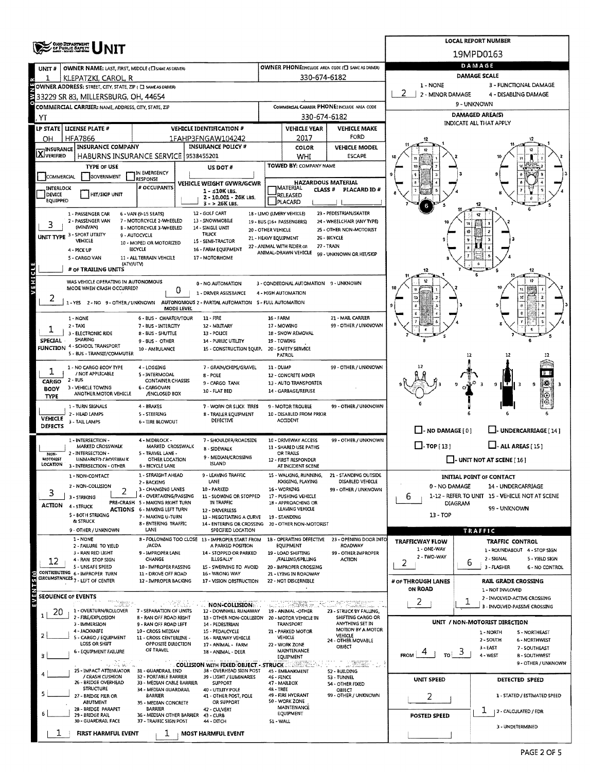| OHIO DEPARTMENT<br>OF PUBLIC SAPETY                                                                                                                                                                          |                                                                                                               | <b>LOCAL REPORT NUMBER</b>                                                                               |                                                                 |                                              |                                            |                                                                    |  |  |  |  |  |  |
|--------------------------------------------------------------------------------------------------------------------------------------------------------------------------------------------------------------|---------------------------------------------------------------------------------------------------------------|----------------------------------------------------------------------------------------------------------|-----------------------------------------------------------------|----------------------------------------------|--------------------------------------------|--------------------------------------------------------------------|--|--|--|--|--|--|
|                                                                                                                                                                                                              |                                                                                                               | 19MPD0163                                                                                                |                                                                 |                                              |                                            |                                                                    |  |  |  |  |  |  |
| OWNER NAME: LAST, FIRST, MIDDLE (EI SAME AS DRIVER)<br>UNIT#                                                                                                                                                 |                                                                                                               | OWNER PHONE:INCLUDE AREA CODE (E) SAME AS DRIVER)                                                        | DAMAGE                                                          |                                              |                                            |                                                                    |  |  |  |  |  |  |
| KLEPATZKI, CAROL, R                                                                                                                                                                                          |                                                                                                               | <b>DAMAGE SCALE</b>                                                                                      |                                                                 |                                              |                                            |                                                                    |  |  |  |  |  |  |
| 1 - NONE<br>3 - FUNCTIONAL DAMAGE<br>OWNER ADDRESS: STREET, CITY, STATE, ZIP ( E SAME AS DRIVER)<br>2 - MINOR DAMAGE<br>4 - DISABLING DAMAGE<br>33229 SR 83, MILLERSBURG, OH, 44654                          |                                                                                                               |                                                                                                          |                                                                 |                                              |                                            |                                                                    |  |  |  |  |  |  |
| COMMERCIAL CARRIER: NAME, ADDRESS, CITY, STATE, ZIP                                                                                                                                                          |                                                                                                               | COMMERCIAL CARRIER PHONE: INCLUDE AREA CODE                                                              | 9 - UNKNOWN                                                     |                                              |                                            |                                                                    |  |  |  |  |  |  |
| I. YT                                                                                                                                                                                                        |                                                                                                               |                                                                                                          | 330-674-6182                                                    |                                              | <b>DAMAGED AREA(S)</b>                     |                                                                    |  |  |  |  |  |  |
| LP STATE LICENSE PLATE #                                                                                                                                                                                     | <b>VEHICLE IDENTIFICATION #</b>                                                                               |                                                                                                          | <b>VEHICLE YEAR</b>                                             | <b>VEHICLE MAKE</b>                          |                                            | INDICATE ALL THAT APPLY                                            |  |  |  |  |  |  |
| <b>HFA7866</b><br>OН                                                                                                                                                                                         | 1FAHP3FNGAW104242                                                                                             |                                                                                                          | 2017                                                            | FORD                                         |                                            |                                                                    |  |  |  |  |  |  |
| <b>INSURANCE COMPANY</b><br><b>X</b> INSURANCE<br><b>HABURNS INSURANCE SERVICE</b>                                                                                                                           | <b>INSURANCE POLICY #</b><br>9538455201                                                                       |                                                                                                          | <b>COLOR</b><br>WHI                                             | <b>VEHICLE MODEL</b><br><b>ESCAPE</b>        |                                            |                                                                    |  |  |  |  |  |  |
| <b>TYPE OF USE</b>                                                                                                                                                                                           | US DOT #                                                                                                      |                                                                                                          | TOWED BY: COMPANY NAME                                          |                                              |                                            |                                                                    |  |  |  |  |  |  |
| <b>GOVERNMENT</b><br>COMMERCIAL<br><b>RESPONSE</b>                                                                                                                                                           | IN EMERGENCY                                                                                                  |                                                                                                          |                                                                 |                                              |                                            |                                                                    |  |  |  |  |  |  |
| INTERLOCK                                                                                                                                                                                                    | VEHICLE WEIGHT GVWR/GCWR<br># OCCUPANTS<br>$1 - 510K$ LBS.                                                    |                                                                                                          | <b>HAZARDOUS MATERIAL</b><br><b>IMATERIAL</b><br><b>CLASS #</b> | PLACARD ID #                                 |                                            |                                                                    |  |  |  |  |  |  |
| HIT/SKIP UNIT<br>DEVICE<br>EQUIPPED                                                                                                                                                                          | 2 - 10,001 - 26K LBS.<br>$3 - 26K$ LBS.                                                                       |                                                                                                          | <b>RELEASED</b><br>PLACARD                                      |                                              |                                            |                                                                    |  |  |  |  |  |  |
| 23 - PEDESTRIAN/SKATER<br>12 - GOLF CART<br>1B - LIMO (LIVERY VEHICLE)<br>1 - PASSENGER CAR<br>6 - VAN (9-15 SEATS)                                                                                          |                                                                                                               |                                                                                                          |                                                                 |                                              |                                            |                                                                    |  |  |  |  |  |  |
| 2 - PASSENGER VAN<br>7 - MOTORCYCLE 2-WHEELED<br>13 - SNOWMOBILE<br>24 - WHEELCHAIR (ANY TYPE)<br>19 - BUS (16+ PASSENGERS)<br>3<br>(MINIVAN)<br>B - MOTORCYCLE 3-WHEELED<br>14 - SINGLE UNIT                |                                                                                                               |                                                                                                          |                                                                 |                                              |                                            |                                                                    |  |  |  |  |  |  |
| UNIT TYPE 3 - SPORT UTILITY<br>9 - AUTOCYCLE<br>VEHICLE                                                                                                                                                      | <b>TRUCK</b><br>15 - SEMI-TRACTOR                                                                             | 20 - OTHER VEHICLE<br>21 - HEAVY EQUIPMENT                                                               |                                                                 | 25 - OTHER NON-MOTORIST<br>26 - BICYCLE      |                                            | ю                                                                  |  |  |  |  |  |  |
| BICYCLE<br>4 - PICK UP                                                                                                                                                                                       | 10 - MOPED OR MOTORIZED<br>16 - FARM EQUIPMENT                                                                |                                                                                                          | 22 - ANIMAL WITH RIDER OR<br>ANIMAL-DRAWN VEHICLE               | 27 - TRAIN                                   |                                            |                                                                    |  |  |  |  |  |  |
| 5 - CARGO VAN<br>11 - ALL TERRAIN VEHCILE<br>(ATV/UTV)                                                                                                                                                       | 17 - MOTORHOME                                                                                                |                                                                                                          |                                                                 | 99 - UNKNOWN OR HIT/SKIP                     |                                            |                                                                    |  |  |  |  |  |  |
| # of TRAILING UNITS                                                                                                                                                                                          |                                                                                                               |                                                                                                          |                                                                 |                                              |                                            | 12                                                                 |  |  |  |  |  |  |
| VEHICLE<br>WAS VEHICLE OPERATING IN AUTONOMOUS<br>MODE WHEN CRASH OCCURRED?                                                                                                                                  | 0 - NO AUTOMATION                                                                                             |                                                                                                          | 3 - CONDITIONAL AUTOMATION 9 - UNKNOWN                          |                                              |                                            |                                                                    |  |  |  |  |  |  |
|                                                                                                                                                                                                              | 0<br>1 - DRIVER ASSISTANCE                                                                                    |                                                                                                          | 4 - HIGH AUTOMATION                                             |                                              |                                            |                                                                    |  |  |  |  |  |  |
| 1-YES 2-NO 9-OTHER/UNKNOWN                                                                                                                                                                                   | AUTONOMOUS 2 - PARTIAL AUTOMATION S - FULL AUTOMATION<br>MODE LEVEL                                           |                                                                                                          |                                                                 |                                              |                                            |                                                                    |  |  |  |  |  |  |
| 1 - NONE                                                                                                                                                                                                     | 6 - BUS - CHARTER/TOUR<br>11 - FIRE                                                                           | <b>16 - FARM</b>                                                                                         |                                                                 | 21 - MAIL CARRIER                            |                                            |                                                                    |  |  |  |  |  |  |
| $2 - TAXI$<br>3 - ELECTRONIC RIDE                                                                                                                                                                            | 7 - BUS - INTERCITY<br>12 - MILITARY<br>8 - BUS - SHUTTLE<br>13 - POLICE                                      | 17 - MOWING<br>18 - SNOW REMOVAL                                                                         |                                                                 | 99 - OTHER / UNKNOWN                         |                                            |                                                                    |  |  |  |  |  |  |
| SHARING<br>SPECIAL<br>FUNCTION 4 - SCHOOL TRANSPORT                                                                                                                                                          | 14 - PUBLIC UTILITY<br>9-BUS - OTHER                                                                          | 19 - TOWING                                                                                              |                                                                 |                                              |                                            |                                                                    |  |  |  |  |  |  |
| 5 - BUS - TRANSIT/COMMUTER                                                                                                                                                                                   | 15 - CONSTRUCTION EQUIP.<br>10 - AMBULANCE                                                                    |                                                                                                          | 20 - SAFETY SERVICE<br><b>PATROL</b>                            |                                              |                                            |                                                                    |  |  |  |  |  |  |
| 1 - NO CARGO BODY TYPE                                                                                                                                                                                       | 4 - LOGGING<br>7 - GRAIN/CHIPS/GRAVEL                                                                         | 99 - OTHER / UNKNOWN<br>11 - DUMP<br>12 - CONCRETE MIXER<br>13 - AUTO TRANSPORTER<br>14 - GARBAGE/REFUSE |                                                                 |                                              |                                            |                                                                    |  |  |  |  |  |  |
| 1<br>/ NOT APPLICABLE<br>2 - BUS<br><b>CARGO</b>                                                                                                                                                             | 5 - INTERMODAL<br>8 - POLE<br><b>CONTAINER CHASSIS</b>                                                        |                                                                                                          |                                                                 |                                              |                                            |                                                                    |  |  |  |  |  |  |
| 3 - VEHICLE TOWING<br><b>BODY</b><br>ANOTHER MOTOR VEHICLE                                                                                                                                                   | 9 - CARGO TANK<br>6 - CARGOVAN<br>10 FLAT BED<br>/ENCLOSED BOX                                                |                                                                                                          |                                                                 |                                              |                                            | Į₩<br>-3<br>9 H F<br>l 3<br>9                                      |  |  |  |  |  |  |
| <b>TYPE</b><br>1 - TURN SIGNALS                                                                                                                                                                              | 4 - BRAKES<br>7 - WORN OR SLICK TIRES                                                                         |                                                                                                          |                                                                 |                                              |                                            |                                                                    |  |  |  |  |  |  |
| 2 - HEAD LAMPS<br><b>VEHICLE</b>                                                                                                                                                                             | 5 - STEERING<br>8 - TRAILER EQUIPMENT                                                                         | 99 - OTHER / UNKNOWN<br>9 - MOTOR TROUBLE<br>10 - DISABLED FROM PRIOR                                    |                                                                 |                                              |                                            |                                                                    |  |  |  |  |  |  |
| 3 - TAIL LAMPS<br>DEFECTS                                                                                                                                                                                    | DEFECTIVE<br>6 - TIRE BLOWOUT                                                                                 |                                                                                                          | <b>ACCIDENT</b>                                                 |                                              | $\Box$ - NO DAMAGE [0]                     | LI- UNDERCARRIAGE [14 ]                                            |  |  |  |  |  |  |
| 1 - INTERSECTION -                                                                                                                                                                                           | 4 - MIDBLOCK -<br>7 - SHOULDER/ROADSIDE                                                                       | 10 - DRIVEWAY ACCESS                                                                                     |                                                                 | 99 - OTHER / UNKNOWN                         |                                            |                                                                    |  |  |  |  |  |  |
| MARKED CROSSWALK<br>2 - INTERSECTION -<br>NON-                                                                                                                                                               | MARKED CROSSWALK<br>8 - SIDEWALK<br>5 - TRAVEL LANE -                                                         |                                                                                                          | 11 - SHARED USE PATHS<br>OR TRAILS                              |                                              | $\Box$ -TOP[13]<br>$\Box$ - ALL AREAS [15] |                                                                    |  |  |  |  |  |  |
| <b>MOTORIST</b><br><b>UNMARKED CROSSWALK</b><br>LOCATION<br>3 - INTERSECTION - OTHER                                                                                                                         | 9 - MEDIAN/CROSSING<br>OTHER LOCATION<br><b>ISLAND</b><br><b>6 - BICYCLE LANE</b>                             |                                                                                                          | 12 - FIRST RESPONDER<br>AT INCIDENT SCENE                       |                                              | L. UNIT NOT AT SCENE [ 16 ]                |                                                                    |  |  |  |  |  |  |
| 1 - NON-CONTACT                                                                                                                                                                                              | 1 - STRAIGHT AHEAD<br>9 - LEAVING TRAFFIC                                                                     |                                                                                                          | 15 - WALKING, RUNNING,                                          | 21 - STANDING OUTSIDE                        |                                            | INITIAL POINT OF CONTACT                                           |  |  |  |  |  |  |
| 2 - NON-COLLISION                                                                                                                                                                                            | LANE<br>2 - BACKING<br>3 - CHANGING LANES<br>10 - PARKED                                                      |                                                                                                          | JOGGING, PLAYING<br>16 - WORKING                                | DISABLED VEHICLE<br>99 - OTHER / UNKNOWN     | 0 - NO DAMAGE                              | 14 - UNDERCARRIAGE                                                 |  |  |  |  |  |  |
| 2<br>3<br>3 - STRIKING                                                                                                                                                                                       | 4 - OVERTAKING/PASSING<br>11 - SLOWING OR STOPPED                                                             |                                                                                                          | 17 - PUSHING VEHICLE                                            |                                              | 6                                          | 1-12 - REFER TO UNIT 15 - VEHICLE NOT AT SCENE                     |  |  |  |  |  |  |
| <b>ACTION</b><br>4 - STRUCK<br><b>ACTIONS 6 - MAKING LEFT TURN</b>                                                                                                                                           | PRE-CRASH 5 - MAXING RIGHT TURN<br>IN TRAFFIC<br>12 - DRIVERLESS                                              |                                                                                                          | 18 - APPROACHING OR<br>LEAVING VEHICLE                          |                                              | DIAGRAM                                    | 99 - UNKNOWN                                                       |  |  |  |  |  |  |
| 5 - BOTH STRIKING<br>& STRUCK                                                                                                                                                                                | 7 - MAKING U-TURN<br>13 - NEGOTIATING A CURVE<br>8 - ENTERING TRAFFIC<br>14 - ENTERING OR CROSSING            |                                                                                                          | 19 - STANDING<br>20 - OTHER NON-MOTORIST                        |                                              | $13 - TOP$                                 |                                                                    |  |  |  |  |  |  |
| 9 - OTHER / UNKNOWN                                                                                                                                                                                          | LANE<br>SPECIFIED LOCATION                                                                                    |                                                                                                          |                                                                 |                                              |                                            | TRAFFIC                                                            |  |  |  |  |  |  |
| 1 - NONE<br>2 - FAILURE TO YIELD                                                                                                                                                                             | 8 - FOLLOWING TOO CLOSE 13 - IMPROPER START FROM<br>/ACDA<br>A PARKED POSITION                                |                                                                                                          | 18 - OPERATING DEFECTIVE<br>EQUIPMENT                           | 23 - OPENING DOOR INTO<br>ROADWAY            | <b>TRAFFICWAY FLOW</b><br>1 - ONE-WAY      | TRAFFIC CONTROL                                                    |  |  |  |  |  |  |
| 3 - RAN RED LIGHT<br>4 - RAN STOP SIGN<br>12                                                                                                                                                                 | 9 - IMPROPER LANE<br>14 - STOPPED OR PARKED<br>CHANGE<br>ILLEGALLY                                            |                                                                                                          | 19 - LOAD SHIFTING<br>/FALLING/SPILLING                         | 99 - OTHER IMPROPER<br><b>ACTION</b>         | 2 - TWO-WAY                                | 1 - ROUNDABOUT 4 - STOP SIGN<br>2 - SIGNAL<br>5 - YIELD SIGN       |  |  |  |  |  |  |
| 5 - UNSAFE SPEED<br>CONTRIBUTING 6 - IMPROPER TURN                                                                                                                                                           | 10 - IMPROPER PASSING<br>15 - SWERVING TO AVOID<br>16 - WRONG WAY                                             |                                                                                                          | 20 - IMPROPER CROSSING                                          |                                              | 2                                          | ь<br>3 - FLASHER<br><b>6 - NO CONTROL</b>                          |  |  |  |  |  |  |
| CIRCUMSTANCES <sub>7</sub> - LEFT OF CENTER                                                                                                                                                                  | 11 - DROVE OFF ROAD<br>12 - IMPROPER BACKING<br>17 - VISION OBSTRUCTION                                       |                                                                                                          | 21 - LYING IN ROADWAY<br>22 - NOT DISCERNIBLE                   |                                              | # or THROUGH LANES                         | <b>RAIL GRADE CROSSING</b>                                         |  |  |  |  |  |  |
| EVENTS <sub>(9)</sub><br><b>SEQUENCE OF EVENTS</b>                                                                                                                                                           |                                                                                                               |                                                                                                          |                                                                 |                                              | ON ROAD                                    | 1 - NOT INVLOVED                                                   |  |  |  |  |  |  |
|                                                                                                                                                                                                              | いこでのあいの<br>NON-COLLISION                                                                                      |                                                                                                          | <b>JIRESE DESCRIPTION</b>                                       | AT ZEREN.                                    | 2                                          | 2 - INVOLVED-ACTIVE CROSSING<br>ı<br>3 - INVOLVED-PASSIVE CROSSING |  |  |  |  |  |  |
| 1 - OVERTURN/ROLLOVER<br>20<br>2 - FIRE/EXPLOSION                                                                                                                                                            | 7 - SEPARATION OF UNITS<br>12 - DOWNHILL RUNAWAY<br><b>8 - RAN OFF ROAD RIGHT</b><br>13 - OTHER NON-COLLISION |                                                                                                          | 19 - ANIMAL -OTHER<br>20 MOTOR VEHICLE IN                       | 23 - STRUCK BY FALLING,<br>SHIFTING CARGO OR |                                            |                                                                    |  |  |  |  |  |  |
| 3 - IMMERSION<br>4 - JACKKNIFE                                                                                                                                                                               | 9 - RAN OFF ROAD LEFT<br>14 - PEDESTRIAN<br>10 - CROSS MEDIAN<br>15 - PEDALCYCLE                              |                                                                                                          | <b>TRANSPORT</b><br>21 - PARKED MOTOR                           | ANYTHING SET IN<br>MOTION BY A MOTOR         |                                            | UNIT / NON-MOTORIST DIRECTION<br>1 - NORTH<br>S - NORTHEAST        |  |  |  |  |  |  |
| 5 - CARGO / EQUIPMENT<br>LOSS OR SHIFT                                                                                                                                                                       | 11 - CROSS CENTERLINE -<br>16 - RAILWAY VEHICLE<br>OPPOSITE DIRECTION                                         |                                                                                                          | <b>VEHICLE</b>                                                  | VEHICLE<br>24 - OTHER MOVABLE                |                                            | 2 - SOUTH<br><b>6 - NORTHWEST</b>                                  |  |  |  |  |  |  |
| 22 - WORK ZONE<br>17 - ANIMAL - FARM<br>OBJECT<br>3-EAST<br>7 - SOUTHEAST<br>OF TRAVEL<br>MAINTENANCE<br>6 - EQUIPMENT FAILURE<br>18 - ANIMAL - DEER<br>3<br><b>FROM</b><br>то<br>4 - WEST                   |                                                                                                               |                                                                                                          |                                                                 |                                              |                                            |                                                                    |  |  |  |  |  |  |
| 3<br>ารแกร่นั้น พิมพัน                                                                                                                                                                                       | <b>COLLISION WITH FIXED OBJECT - STRUCK COLLISION WITH FIXED OBJECT - STRUCK</b>                              |                                                                                                          | EQUIPMENT                                                       | T. T. PERK 1                                 |                                            | <b>B-SOUTHWEST</b><br>9 - OTHER / UNKNOWN                          |  |  |  |  |  |  |
| 25 - IMPACT ATTENUATOR 31 - GUARDRAIL END<br>38 - OVERHEAD SIGN POST<br>45 - EMBANKMENT<br>52 - BUILDING<br>/ CRASH CUSHION<br>32 - PORTABLE BARRIER<br>39 - LIGHT / LUMINARIES<br>46 - FENCE<br>53 - TUNNEL |                                                                                                               |                                                                                                          |                                                                 |                                              |                                            |                                                                    |  |  |  |  |  |  |
| 26 - BRIDGE OVERHEAD<br><b>STRUCTURE</b>                                                                                                                                                                     | 33 - MEDIAN CABLE BARRIER<br><b>SUPPORT</b><br>34 - MEDIAN GUARDRAIL<br>40 - UTILITY POLE                     | 48 - TREE                                                                                                | 47 - MAILBOX                                                    | 54 - OTHER FIXED<br>OBJECT                   | <b>UNIT SPEED</b><br>DETECTED SPEED        |                                                                    |  |  |  |  |  |  |
| 5<br>27 - BRIDGE PIER OR<br><b>ABUTMENT</b>                                                                                                                                                                  | <b>BARRIER</b><br>41 - OTHER POST, POLE<br>OR SUPPORT<br>35 - MEDIAN CONCRETE                                 |                                                                                                          | 49 - FIRE HYDRANT<br>50 WORK ZONE                               | 99 OTHER / UNKNOWN                           | 2                                          | 1 - STATED / ESTIMATED SPEED                                       |  |  |  |  |  |  |
| 28 - BRIDGE PARAPET                                                                                                                                                                                          | <b>BARRIER</b><br>42 - CULVERT                                                                                |                                                                                                          | MAINTENANCE<br>EQUIPMENT                                        |                                              |                                            | T<br>  2 - CALCULATED / EDR                                        |  |  |  |  |  |  |
| 29 - BRIDGE RAIL<br>30 - GUARDRAIL FACE                                                                                                                                                                      | 36 - MEDIAN OTHER BARRIER<br>43 - CURB<br>37 - TRAFFIC SIGN POST<br>44 - DITCH                                | 51 - WALL                                                                                                |                                                                 |                                              | POSTED SPEED                               |                                                                    |  |  |  |  |  |  |
| FIRST HARMFUL EVENT                                                                                                                                                                                          | <b>MOST HARMFUL EVENT</b>                                                                                     |                                                                                                          |                                                                 |                                              | 3 - UNDETERMINED                           |                                                                    |  |  |  |  |  |  |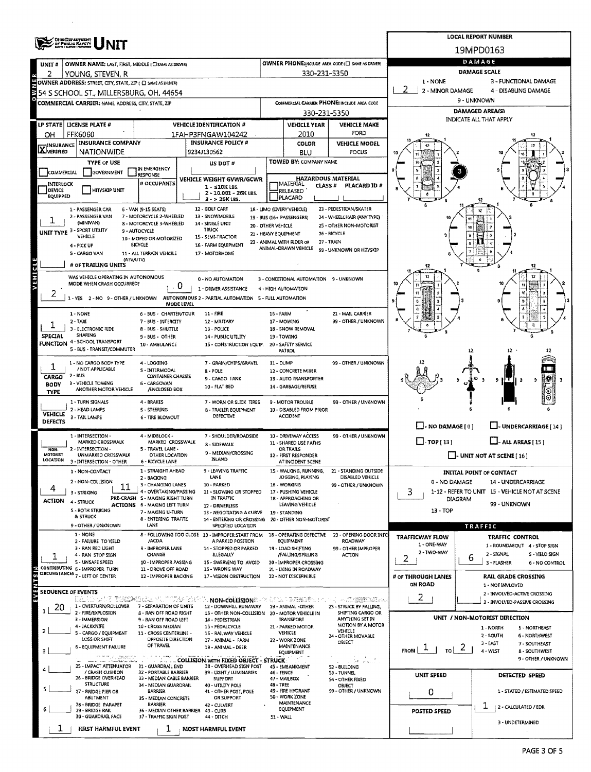|                               |                                                             |                                                          | <b>LOCAL REPORT NUMBER</b>                                              |                                                                       |                                                   |                                                       |                                             |                                                                      |  |  |  |  |  |  |
|-------------------------------|-------------------------------------------------------------|----------------------------------------------------------|-------------------------------------------------------------------------|-----------------------------------------------------------------------|---------------------------------------------------|-------------------------------------------------------|---------------------------------------------|----------------------------------------------------------------------|--|--|--|--|--|--|
|                               | OHIO DEPARTMENT<br>OF PUBLIC BAFETY                         |                                                          | 19MPD0163                                                               |                                                                       |                                                   |                                                       |                                             |                                                                      |  |  |  |  |  |  |
| UNIT#                         | OWNER NAME: LAST, FIRST, MIDDLE (C) SAME AS DRIVER)         |                                                          |                                                                         |                                                                       |                                                   | OWNER PHONE:INCLUDE AREA CODE (E) SAME AS DRIVERY     | DAMAGE                                      |                                                                      |  |  |  |  |  |  |
| 2                             | YOUNG, STEVEN, R                                            |                                                          |                                                                         |                                                                       | 330-231-5350                                      |                                                       | <b>DAMAGE SCALE</b>                         |                                                                      |  |  |  |  |  |  |
|                               | OWNER ADDRESS: STREET, CITY, STATE, ZIP ( C SAME AS DRIVER) |                                                          |                                                                         |                                                                       |                                                   |                                                       | 1 - NONE<br>-2<br>2 - MINOR DAMAGE          | 3 - FUNCTIONAL DAMAGE<br>4 - DISABLING DAMAGE                        |  |  |  |  |  |  |
|                               | 354 S SCHOOL ST., MILLERSBURG, OH, 44654                    |                                                          |                                                                         |                                                                       |                                                   |                                                       | 9 - UNKNOWN                                 |                                                                      |  |  |  |  |  |  |
|                               | COMMERCIAL CARRIER: NAME, ADDRESS, CITY, STATE, ZIP         |                                                          |                                                                         |                                                                       | 330-231-5350                                      | COMMERCIAL CARRIER PHONE: INCLUDE AREA CODE           | <b>DAMAGED AREA(S)</b>                      |                                                                      |  |  |  |  |  |  |
| <b>LP STATE</b>               | LICENSE PLATE #                                             |                                                          | <b>VEHICLE IDENTIFICATION #</b>                                         |                                                                       | <b>VEHICLE YEAR</b>                               | <b>VEHICLE MAKE</b>                                   | INDICATE ALL THAT APPLY                     |                                                                      |  |  |  |  |  |  |
| OН                            | <b>FFK6060</b>                                              |                                                          | 1FAHP3FNGAW104242                                                       |                                                                       | 2010                                              | FORD                                                  |                                             |                                                                      |  |  |  |  |  |  |
|                               | <b>INSURANCE COMPANY</b>                                    |                                                          | <b>INSURANCE POLICY #</b>                                               |                                                                       | <b>COLOR</b>                                      | <b>VEHICLE MODEL</b>                                  |                                             |                                                                      |  |  |  |  |  |  |
| <b>X</b> <sup>INSURANCE</sup> | <b>NATIONWIDE</b>                                           |                                                          | 9234J130562                                                             |                                                                       | BLU                                               | FOCUS                                                 |                                             |                                                                      |  |  |  |  |  |  |
|                               | <b>TYPE OF USE</b>                                          | I IN EMERGENCY                                           | <b>US DOT #</b>                                                         |                                                                       | TOWED BY: COMPANY NAME                            |                                                       |                                             |                                                                      |  |  |  |  |  |  |
| COMMERCIAL                    | <b>GOVERNMENT</b>                                           | RESPONSE                                                 | VEHICLE WEIGHT GVWR/GCWR                                                |                                                                       | <b>HAZARDOUS MATERIAL</b>                         |                                                       |                                             |                                                                      |  |  |  |  |  |  |
| INTERLOCK<br>DEVICE           | <b>HIT/SKIP UNIT</b>                                        | # OCCUPANTS                                              | 1 - ≤10K LBS.                                                           |                                                                       | MATERIAL<br><b>CLASS#</b><br>RELEASED             | <b>PLACARD ID#</b>                                    |                                             |                                                                      |  |  |  |  |  |  |
| EQUIPPED                      |                                                             |                                                          | 2 - 10.001 - 26K LBS.<br>3 - > 26K LBS.                                 |                                                                       | PLACARD                                           |                                                       |                                             |                                                                      |  |  |  |  |  |  |
|                               | 1 - PASSENGER CAR                                           | 6 - VAN (9-15 SEATS)                                     | 12 - GOLF CART                                                          |                                                                       | 18 - LIMO (LIVERY VEHICLE)                        | 23 - PEDESTRIAN/SKATER                                |                                             | ĸ                                                                    |  |  |  |  |  |  |
|                               | 2 - PASSENGER VAN<br>(MINIVAN)                              | 7 - MOTORCYCLE 2-WHEELED<br>8 - MOTORCYCLE 3-WHEELED     | 13 - SNOWMOBILE<br>14 - SINGLE UNIT                                     | 20 - OTHER VEHICLE                                                    | 19 - BUS (16+ PASSENGERS)                         | 24 - WHEELCHAIR (ANY TYPE)<br>25 - OTHER NON-MOTORIST |                                             |                                                                      |  |  |  |  |  |  |
|                               | UNIT TYPE 3 - SPORT UTHITY<br>VEHICLE                       | 9 - AUTOCYCLE                                            | <b>TRUCK</b><br>15 - SEMI-TRACTOR                                       | 21 - HEAVY EQUIPMENT                                                  |                                                   | 26 - BICYCLE                                          |                                             |                                                                      |  |  |  |  |  |  |
|                               | 4 - PICK UP                                                 | 10 - MOPED OR MOTORIZED<br><b>BICYCLE</b>                | 16 - FARM EQUIPMENT                                                     |                                                                       | 22 - ANIMAL WITH RIDER OR<br>ANIMAL-DRAWN VEHICLE | 27 - TRAIN                                            |                                             |                                                                      |  |  |  |  |  |  |
|                               | S - CARGO VAN                                               | 11 - ALL TERRAIN VEHCILE                                 | 17 - MOTORHOME                                                          |                                                                       |                                                   | 99 - UNKNOWN OR HIT/SKIP                              |                                             |                                                                      |  |  |  |  |  |  |
|                               | (ATV/UTV)<br># OF TRAILING UNITS                            |                                                          |                                                                         |                                                                       |                                                   |                                                       | 12                                          | 12                                                                   |  |  |  |  |  |  |
| <b>AEHICLE</b>                | WAS VEHICLE OPERATING IN AUTONOMOUS                         |                                                          | 0 - NO AUTOMATION                                                       |                                                                       | 3 - CONDITIONAL AUTOMATION 9 - UNKNOWN            |                                                       |                                             | 12                                                                   |  |  |  |  |  |  |
|                               | MODE WHEN CRASH OCCURRED?                                   | 0                                                        | 1 - DRIVER ASSISTANCE                                                   |                                                                       | 4 - HIGH AUTOMATION                               |                                                       |                                             |                                                                      |  |  |  |  |  |  |
| 2                             | 1-YES 2-NO 9-OTHER/UNKNOWN                                  |                                                          | AUTONOMOUS 2 - PARTIAL AUTOMATION 5 - FULL AUTOMATION                   |                                                                       |                                                   |                                                       | 15                                          |                                                                      |  |  |  |  |  |  |
|                               | 1 - NONE                                                    | MODE LEVEL<br>6 - BUS - CHARTER/TOUR                     | 11 - FIRE                                                               | 16 - FARM                                                             |                                                   | 21 - MAIL CARRIER                                     |                                             |                                                                      |  |  |  |  |  |  |
|                               | $2 - TAXI$                                                  | 7 - BUS - INTERCITY                                      | 12 - MILITARY                                                           |                                                                       | 17 - MOWING                                       | 99 - OTHER / UNKNOWN                                  |                                             |                                                                      |  |  |  |  |  |  |
|                               | 3 - ELECTRONIC RIDE<br>SHARING                              | 8 - BUS - SHUTTLE                                        | 13 - POLICE                                                             |                                                                       | 18 - SNOW REMOVAL                                 |                                                       |                                             |                                                                      |  |  |  |  |  |  |
| SPECIAL<br><b>FUNCTION</b>    | 4 - SCHOOL TRANSPORT                                        | 9 - BUS - OTHER<br>10 - AMBULANCE                        | 14 - PUBLIC UTILITY<br>15 - CONSTRUCTION EQUIP.                         |                                                                       | 19 - TOWING<br>20 - SAFETY SERVICE                |                                                       |                                             |                                                                      |  |  |  |  |  |  |
|                               | 5 - BUS - TRANSIT/COMMUTER                                  |                                                          |                                                                         |                                                                       | PATROL                                            |                                                       |                                             | 12<br>12                                                             |  |  |  |  |  |  |
|                               | 1 - NO CARGO BODY TYPE<br>/ NOT APPLICABLE                  | 4 - LOGGING                                              | 7 - GRAIN/CHIPS/GRAVEL                                                  | 11 - DUMP                                                             |                                                   | 99 - OTHER / UNKNOWN                                  |                                             |                                                                      |  |  |  |  |  |  |
| CARGO                         | 2 - BUS                                                     | S - INTERMODAL<br>CONTAINER CHASSIS                      | 8 - POLE<br>9 - CARGO TANK                                              |                                                                       | 12 - CONCRETE MIXER<br>13 - AUTO TRANSPORTER      |                                                       |                                             | IS.<br>9 ILT II<br>9<br>ೆ                                            |  |  |  |  |  |  |
| <b>BODY</b>                   | 3 - VEHICLE TOWING<br>ANOTHER MOTOR VEHICLE                 | 6 - CARGOVAN<br>/ENCLOSED BOX                            | 10 - FLAT BED                                                           |                                                                       | 14 - GARBAGE/REFUSE                               |                                                       |                                             |                                                                      |  |  |  |  |  |  |
| <b>TYPE</b>                   | 1 - TURN SIGNALS                                            | 4 - BRAKES                                               | 7 - WORN OR SLICK TIRES                                                 |                                                                       | 9 - MOTOR TROUBLE                                 | 99 - OTHER / UNKNOWN                                  |                                             |                                                                      |  |  |  |  |  |  |
| <b>VEHICLE</b>                | 2 - HEAD LAMPS                                              | S - STEERING                                             | 8 - TRAILER EQUIPMENT                                                   |                                                                       | 10 - DISABLED FROM PRIOR                          |                                                       |                                             |                                                                      |  |  |  |  |  |  |
| <b>DEFECTS</b>                | 3 - TAIL LAMPS                                              | <b>6 - TIRE BLOWOUT</b>                                  | <b>DEFECTIVE</b>                                                        |                                                                       | ACCIDENT                                          |                                                       |                                             |                                                                      |  |  |  |  |  |  |
|                               | 1 - INTERSECTION -                                          | 4 - MIDBLOCK -                                           | 7 - SHOULDER/ROADSIDE                                                   |                                                                       |                                                   |                                                       | $\Box$ - NO DAMAGE $[0]$                    | L. UNDERCARRIAGE [14]                                                |  |  |  |  |  |  |
|                               | <b>MARKED CROSSWALK</b>                                     | MARKED CROSSWALK                                         | 8 - SIDEWALK                                                            | 10 - DRIVEWAY ACCESS<br>99 - OTHER / UNKNOWN<br>11 - SHARED USE PATHS |                                                   |                                                       | $\Box$ -TOP [13]<br>$\Box$ - ALL AREAS [15] |                                                                      |  |  |  |  |  |  |
| NON-<br>MOTORIST              | - INTERSECTION -<br>$\overline{ }$<br>UNMARKED CROSSWALK    | 5 - TRAVEL LANE -<br>OTHER LOCATION                      | 9 - MEDIAN/CROSSING                                                     | OR TRAILS<br>12 - FIRST RESPONDER                                     |                                                   |                                                       |                                             | $\Box$ - UNIT NOT AT SCENE [16]                                      |  |  |  |  |  |  |
| LOCATION                      | 3 - INTERSECTION - OTHER                                    | 6 - BICYCLE LANE                                         | <b>ISLAND</b>                                                           |                                                                       | AT INCIDENT SCENE                                 |                                                       |                                             |                                                                      |  |  |  |  |  |  |
|                               | 1 - NON-CONTACT<br>2 - NON-COLLISION                        | 1 - STRAIGHT AHEAD<br>2 - BACKING                        | 9 - LEAVING TRAFFIC<br>LANE                                             |                                                                       | 15 - WALKING, RUNNING,<br>JOGGING, PLAYING        | 21 - STANDING OUTSIDE<br>DISABLED VEHICLE             |                                             | <b>INITIAL POINT OF CONTACT</b>                                      |  |  |  |  |  |  |
| 4                             | 11<br>3 - STRIKING                                          | 3 - CHANGING LANES<br>4 - OVERTAKING/PASSING             | 10 - PARKED<br>11 - SLOWING OR STOPPED                                  |                                                                       | 16 - WORKING<br>17 - PUSHING VEHICLE              | 99 - OTHER / UNKNOWN                                  | 0 - NO DAMAGE<br>3                          | 14 - UNDERCARRIAGE<br>1-12 - REFER TO UNIT 15 - VEHICLE NOT AT SCENE |  |  |  |  |  |  |
| ACTION                        | 4 - STRUCK                                                  | PRE-CRASH 5 - MAKING RIGHT TURN                          | IN TRAFFIC                                                              |                                                                       | 18 - APPROACHING OR                               |                                                       | DIAGRAM                                     |                                                                      |  |  |  |  |  |  |
|                               | S - BOTH STRIKING                                           | <b>ACTIONS 6 - MAKING LEFT TURN</b><br>7 - MAKING U-TURN | 12 - DRIVERLESS<br>13 - NEGOTIATING A CURVE                             | LEAVING VEHICLE<br>19 - STANDING                                      |                                                   |                                                       | 13 - TOP                                    | 99 - UNKNOWN                                                         |  |  |  |  |  |  |
|                               | & STRUCK<br>9 - OTHER / UNKNOWN                             | 8 - ENTERING TRAFFIC<br>LANE                             | 14 - ENTERING OR CROSSING<br>SPECIFIED LOCATION                         |                                                                       | 20 - OTHER NON-MOTORIST                           |                                                       |                                             |                                                                      |  |  |  |  |  |  |
|                               | 1 - NONE                                                    |                                                          | 8 - FOLLOWING TOO CLOSE 13 - IMPROPER START FROM                        |                                                                       | 18 - OPERATING DEFECTIVE                          | 23 - OPENING DOOR INTO                                | <b>TRAFFICWAY FLOW</b>                      | TRAFFIC<br>TRAFFIC CONTROL                                           |  |  |  |  |  |  |
|                               | 2 - FAILURE TO YIELD<br>3 - RAN RED LIGHT                   | /ACDA<br>9 - IMPROPER LANE                               | A PARKED POSITION<br>14 - STOPPED OR PARKED                             |                                                                       | EQUIPMENT<br>19 - LOAD SHIFTING                   | ROADWAY<br>99 - OTHER IMPROPER                        | 1 - ONE-WAY                                 | 1 - ROUNDABOUT 4 - STOP SIGN                                         |  |  |  |  |  |  |
| ı                             | 4 - RAN STOP SIGN                                           | CHANGE                                                   | ILLEGALLY                                                               |                                                                       | <b>/FALLING/SPILLING</b>                          | ACTION                                                | 2-TWO-WAY<br>2                              | 2 - SIGNAL<br>S - YIELD SIGN<br>6                                    |  |  |  |  |  |  |
|                               | 5 - UNSAFE SPEED<br>CONTRIBUTING 6 - IMPROPER TURN          | 10 - IMPROPER PASSING<br>11 - DROVE OFF ROAD             | 15 - SWERVING TO AVOID<br>16 - WRONG WAY                                |                                                                       | 20 - IMPROPER CROSSING<br>21 - LYING IN ROADWAY   |                                                       |                                             | 3 - FLASHER<br>6 - NO CONTROL                                        |  |  |  |  |  |  |
| <b>ENTS (S)</b>               | CIRCUMSTANCES 7 - LEFT OF CENTER                            | 12 - IMPROPER BACKING                                    | 17 - VISION OBSTRUCTION                                                 |                                                                       | 22 - NOT DISCERNIBLE                              |                                                       | # OF THROUGH LANES                          | <b>RAIL GRADE CROSSING</b>                                           |  |  |  |  |  |  |
| <b>SEOUENCE OF EVENTS</b>     |                                                             |                                                          |                                                                         |                                                                       |                                                   |                                                       | ON ROAD                                     | 1 - NOT INVLOVED                                                     |  |  |  |  |  |  |
| þ                             | KRITISTER TEERSREIKING TUTABERAS                            |                                                          | NON-COLLISIONS - 2010, 1972, 497, 497, 100                              |                                                                       |                                                   | n i Albert eta Maria                                  | 2                                           | 2 - INVOLVED-ACTIVE CROSSING<br>3 - INVOLVED-PASSIVE CROSSING        |  |  |  |  |  |  |
| 20                            | 1 - OVERTURN/ROLLOVER<br>2 - FIRE/EXPLOSION                 | 7 - SEPARATION OF UNITS<br>8 - RAN OFF ROAD RIGHT        | 12 - DOWNHILL RUNAWAY<br>13 - OTHER NON-COLLISION 20 - MOTOR VEHICLE IN |                                                                       | 19 - ANIMAL -OTHER                                | 23 - STRUCK BY FALLING,<br>SHIFTING CARGO OR          |                                             |                                                                      |  |  |  |  |  |  |
|                               | 3 - IMMERSION                                               | 9 - RAN OFF ROAD LEFT                                    | 14 - PEDESTRIAN                                                         |                                                                       | <b>TRANSPORT</b>                                  | ANYTHING SET IN<br>MOTION BY A MOTOR                  |                                             | UNIT / NON-MOTORIST DIRECTION                                        |  |  |  |  |  |  |
|                               | 4 - JACKXNIFE<br>S - CARGO / EQUIPMENT                      | 10 - CROSS MEDIAN<br>11 - CROSS CENTERLINE -             | 15 - PEDALCYCLE<br>16 - RAILWAY VEHICLE                                 |                                                                       | 21 - PARKED MOTOR<br>VEHICLE                      | VEHICLE<br>24 - OTHER MOVABLE                         |                                             | 1 - NORTH<br>5 - NORTHEAST<br>2 - SOUTH<br><b>6 - NORTHWEST</b>      |  |  |  |  |  |  |
|                               | LOSS OR SHIFT<br>6 - EQUIPMENT FAILURE                      | OPPOSITE DIRECTION<br>OF TRAVEL                          | 17 - ANIMAL - FARM<br>18 - ANIMAL - DEER                                |                                                                       | 22 - WORK ZONE<br>MAINTENANCE                     | OBJECT                                                |                                             | 3 - EAST<br>7 - SOUTHEAST                                            |  |  |  |  |  |  |
|                               | t, e i gress                                                |                                                          |                                                                         |                                                                       | EQUIPMENT                                         | $-$                                                   | $F_{\text{ROM}}$ $\vert$ $\vert$<br>TO I    | $\mathbf{z}$<br>4 - WEST<br>8 - SOUTHWEST                            |  |  |  |  |  |  |
|                               | dan di destin<br>25 - IMPACT ATTENUATOR 31 - GUARDRAIL END  |                                                          | <b>COLLISION WITH FIXED OBJECT - STRUCK.</b><br>38 - OVERHEAD SIGN POST |                                                                       | 45 - EMBANKMENT                                   | الأسفاق مقابل<br>52 - BUILDING                        |                                             | 9 - OTHER / UNKNOWN                                                  |  |  |  |  |  |  |
|                               | / CRASH CUSHION<br>26 - BRIDGE OVERHEAD                     | 32 - PORTABLE BARRIER<br>33 - MEDIAN CABLE BARRIER       | 39 - LIGHT / LUMINARIES<br><b>SUPPORT</b>                               | 46 - FENCE                                                            | 47 - MAILBOX                                      | 53 - TUNNEL<br>54 - OTHER FIXED                       | UNIT SPEED                                  | DETECTED SPEED                                                       |  |  |  |  |  |  |
|                               | <b>STRUCTURE</b>                                            | 34 - MEDIAN GUARDRAIL                                    | 40 - UTILITY POLE                                                       | <b>48 - TREE</b>                                                      |                                                   | OBJECT                                                |                                             |                                                                      |  |  |  |  |  |  |
|                               | 27 - BRIDGE PIER OR<br>ABUTMENT                             | BARRIER<br>35 - MEDIAN CONCRETE                          | 41 - OTHER POST, POLE<br>OR SUPPORT                                     |                                                                       | 49 - FIRE HYDRANT<br>50 - WORK ZONE               | 99 - OTHER / UNKNOWN                                  | 0                                           | 1 - STATED / ESTIMATED SPEED                                         |  |  |  |  |  |  |
|                               | 28 - BRIDGE PARAPET<br>29 - BRIDGE RAIL                     | <b>BARRIER</b><br>36 - MEDIAN OTHER BARRIER              | 42 - CULVERT<br>43 - CURB                                               |                                                                       | MAINTENANCE<br>EQUIPMENT                          |                                                       | POSTED SPEED                                | ı.<br>2 - CALCULATED / EDR                                           |  |  |  |  |  |  |
|                               | 30 - GUARDRAIL FACE                                         | 37 - TRAFFIC SIGN POST                                   | 44 - DITCH                                                              | 51 - WALL                                                             |                                                   |                                                       |                                             | 3 - UNDETERMINED                                                     |  |  |  |  |  |  |
|                               | FIRST HARMFUL EVENT                                         | ı                                                        | MOST HARMFUL EVENT                                                      |                                                                       |                                                   |                                                       |                                             |                                                                      |  |  |  |  |  |  |